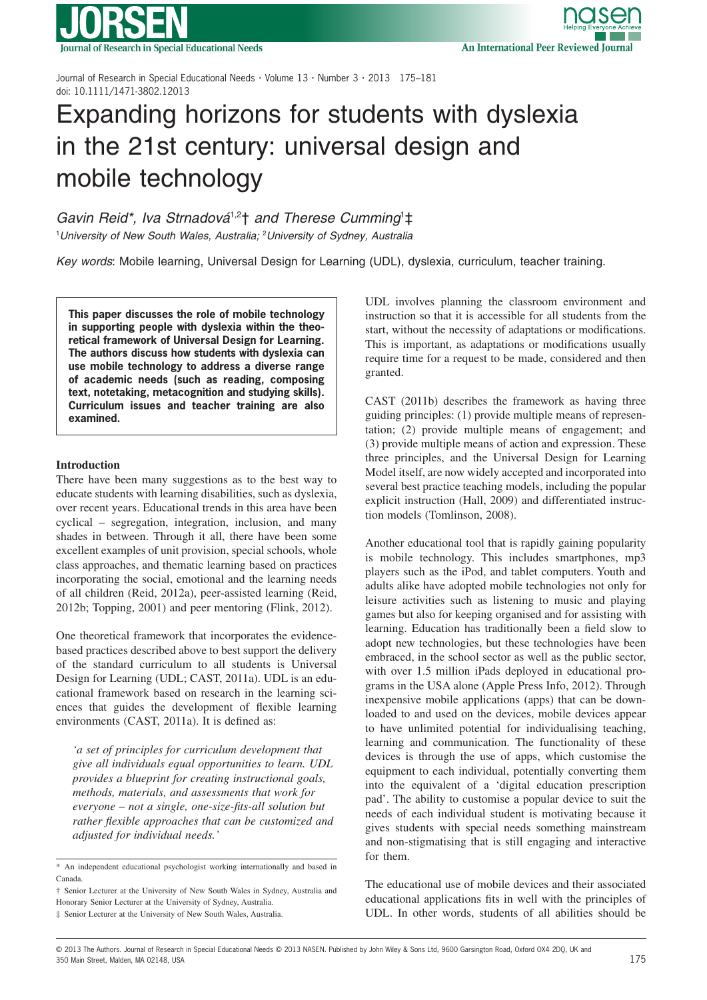

Journal of Research in Special Educational Needs · Volume 13 · Number 3 · 2013 175–181 doi: 10.1111/1471-3802.12013

# **An International Peer Reviewed Journal**

# Expanding horizons for students with dyslexia in the 21st century: universal design and mobile technology

Gavin Reid\*, Iva Strnadová<sup>1,2</sup>† and Therese Cumming<sup>1</sup>‡ <sup>1</sup> University of New South Wales, Australia; <sup>2</sup> University of Sydney, Australia

*Key words*: Mobile learning, Universal Design for Learning (UDL), dyslexia, curriculum, teacher training.

**This paper discusses the role of mobile technology in supporting people with dyslexia within the theoretical framework of Universal Design for Learning. The authors discuss how students with dyslexia can use mobile technology to address a diverse range of academic needs (such as reading, composing text, notetaking, metacognition and studying skills). Curriculum issues and teacher training are also examined.**

#### **Introduction**

There have been many suggestions as to the best way to educate students with learning disabilities, such as dyslexia, over recent years. Educational trends in this area have been cyclical – segregation, integration, inclusion, and many shades in between. Through it all, there have been some excellent examples of unit provision, special schools, whole class approaches, and thematic learning based on practices incorporating the social, emotional and the learning needs of all children (Reid, 2012a), peer-assisted learning (Reid, 2012b; Topping, 2001) and peer mentoring (Flink, 2012).

One theoretical framework that incorporates the evidencebased practices described above to best support the delivery of the standard curriculum to all students is Universal Design for Learning (UDL; CAST, 2011a). UDL is an educational framework based on research in the learning sciences that guides the development of flexible learning environments (CAST, 2011a). It is defined as:

*'a set of principles for curriculum development that give all individuals equal opportunities to learn. UDL provides a blueprint for creating instructional goals, methods, materials, and assessments that work for everyone – not a single, one-size-fits-all solution but rather flexible approaches that can be customized and adjusted for individual needs.'*

UDL involves planning the classroom environment and instruction so that it is accessible for all students from the start, without the necessity of adaptations or modifications. This is important, as adaptations or modifications usually require time for a request to be made, considered and then granted.

CAST (2011b) describes the framework as having three guiding principles: (1) provide multiple means of representation; (2) provide multiple means of engagement; and (3) provide multiple means of action and expression. These three principles, and the Universal Design for Learning Model itself, are now widely accepted and incorporated into several best practice teaching models, including the popular explicit instruction (Hall, 2009) and differentiated instruction models (Tomlinson, 2008).

Another educational tool that is rapidly gaining popularity is mobile technology. This includes smartphones, mp3 players such as the iPod, and tablet computers. Youth and adults alike have adopted mobile technologies not only for leisure activities such as listening to music and playing games but also for keeping organised and for assisting with learning. Education has traditionally been a field slow to adopt new technologies, but these technologies have been embraced, in the school sector as well as the public sector, with over 1.5 million iPads deployed in educational programs in the USA alone (Apple Press Info, 2012). Through inexpensive mobile applications (apps) that can be downloaded to and used on the devices, mobile devices appear to have unlimited potential for individualising teaching, learning and communication. The functionality of these devices is through the use of apps, which customise the equipment to each individual, potentially converting them into the equivalent of a 'digital education prescription pad'. The ability to customise a popular device to suit the needs of each individual student is motivating because it gives students with special needs something mainstream and non-stigmatising that is still engaging and interactive for them.

The educational use of mobile devices and their associated educational applications fits in well with the principles of UDL. In other words, students of all abilities should be

<sup>\*</sup> An independent educational psychologist working internationally and based in Canada.

<sup>†</sup> Senior Lecturer at the University of New South Wales in Sydney, Australia and Honorary Senior Lecturer at the University of Sydney, Australia.

<sup>‡</sup> Senior Lecturer at the University of New South Wales, Australia.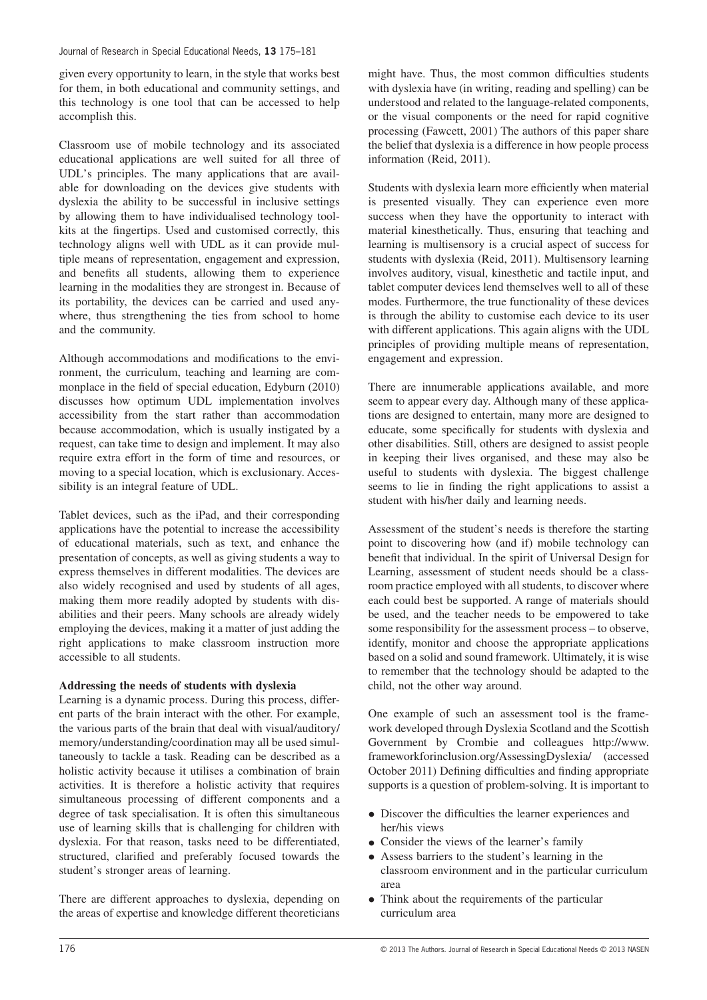given every opportunity to learn, in the style that works best for them, in both educational and community settings, and this technology is one tool that can be accessed to help accomplish this.

Classroom use of mobile technology and its associated educational applications are well suited for all three of UDL's principles. The many applications that are available for downloading on the devices give students with dyslexia the ability to be successful in inclusive settings by allowing them to have individualised technology toolkits at the fingertips. Used and customised correctly, this technology aligns well with UDL as it can provide multiple means of representation, engagement and expression, and benefits all students, allowing them to experience learning in the modalities they are strongest in. Because of its portability, the devices can be carried and used anywhere, thus strengthening the ties from school to home and the community.

Although accommodations and modifications to the environment, the curriculum, teaching and learning are commonplace in the field of special education, Edyburn (2010) discusses how optimum UDL implementation involves accessibility from the start rather than accommodation because accommodation, which is usually instigated by a request, can take time to design and implement. It may also require extra effort in the form of time and resources, or moving to a special location, which is exclusionary. Accessibility is an integral feature of UDL.

Tablet devices, such as the iPad, and their corresponding applications have the potential to increase the accessibility of educational materials, such as text, and enhance the presentation of concepts, as well as giving students a way to express themselves in different modalities. The devices are also widely recognised and used by students of all ages, making them more readily adopted by students with disabilities and their peers. Many schools are already widely employing the devices, making it a matter of just adding the right applications to make classroom instruction more accessible to all students.

# **Addressing the needs of students with dyslexia**

Learning is a dynamic process. During this process, different parts of the brain interact with the other. For example, the various parts of the brain that deal with visual/auditory/ memory/understanding/coordination may all be used simultaneously to tackle a task. Reading can be described as a holistic activity because it utilises a combination of brain activities. It is therefore a holistic activity that requires simultaneous processing of different components and a degree of task specialisation. It is often this simultaneous use of learning skills that is challenging for children with dyslexia. For that reason, tasks need to be differentiated, structured, clarified and preferably focused towards the student's stronger areas of learning.

There are different approaches to dyslexia, depending on the areas of expertise and knowledge different theoreticians might have. Thus, the most common difficulties students with dyslexia have (in writing, reading and spelling) can be understood and related to the language-related components, or the visual components or the need for rapid cognitive processing (Fawcett, 2001) The authors of this paper share the belief that dyslexia is a difference in how people process information (Reid, 2011).

Students with dyslexia learn more efficiently when material is presented visually. They can experience even more success when they have the opportunity to interact with material kinesthetically. Thus, ensuring that teaching and learning is multisensory is a crucial aspect of success for students with dyslexia (Reid, 2011). Multisensory learning involves auditory, visual, kinesthetic and tactile input, and tablet computer devices lend themselves well to all of these modes. Furthermore, the true functionality of these devices is through the ability to customise each device to its user with different applications. This again aligns with the UDL principles of providing multiple means of representation, engagement and expression.

There are innumerable applications available, and more seem to appear every day. Although many of these applications are designed to entertain, many more are designed to educate, some specifically for students with dyslexia and other disabilities. Still, others are designed to assist people in keeping their lives organised, and these may also be useful to students with dyslexia. The biggest challenge seems to lie in finding the right applications to assist a student with his/her daily and learning needs.

Assessment of the student's needs is therefore the starting point to discovering how (and if) mobile technology can benefit that individual. In the spirit of Universal Design for Learning, assessment of student needs should be a classroom practice employed with all students, to discover where each could best be supported. A range of materials should be used, and the teacher needs to be empowered to take some responsibility for the assessment process – to observe, identify, monitor and choose the appropriate applications based on a solid and sound framework. Ultimately, it is wise to remember that the technology should be adapted to the child, not the other way around.

One example of such an assessment tool is the framework developed through Dyslexia Scotland and the Scottish Government by Crombie and colleagues http://www. frameworkforinclusion.org/AssessingDyslexia/ (accessed October 2011) Defining difficulties and finding appropriate supports is a question of problem-solving. It is important to

- Discover the difficulties the learner experiences and her/his views
- Consider the views of the learner's family
- Assess barriers to the student's learning in the classroom environment and in the particular curriculum area
- Think about the requirements of the particular curriculum area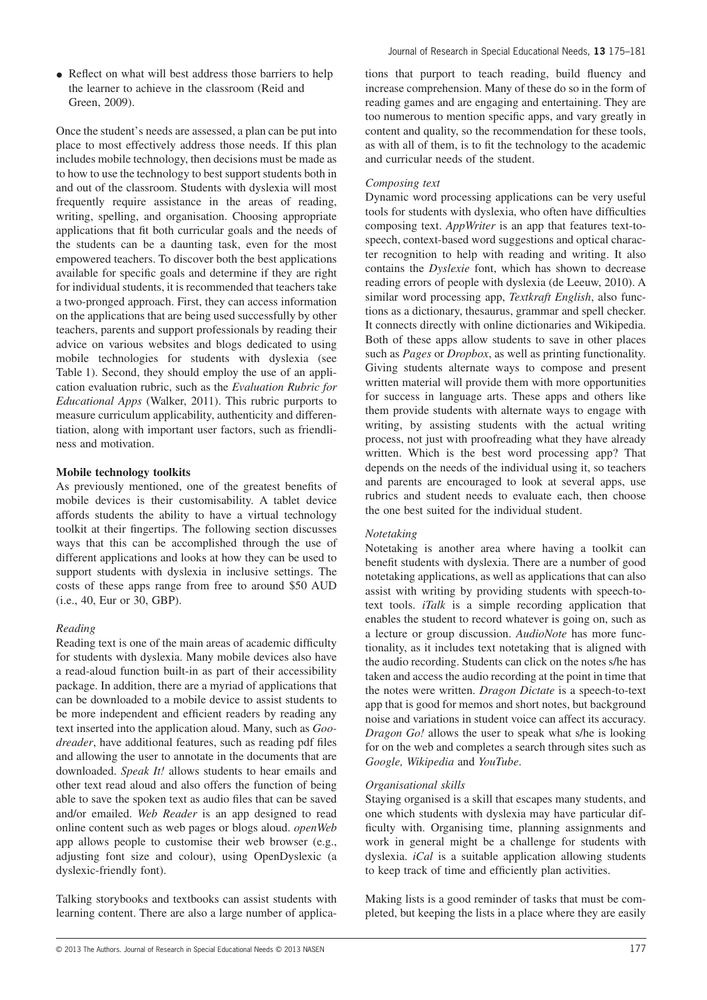• Reflect on what will best address those barriers to help the learner to achieve in the classroom (Reid and Green, 2009).

Once the student's needs are assessed, a plan can be put into place to most effectively address those needs. If this plan includes mobile technology, then decisions must be made as to how to use the technology to best support students both in and out of the classroom. Students with dyslexia will most frequently require assistance in the areas of reading, writing, spelling, and organisation. Choosing appropriate applications that fit both curricular goals and the needs of the students can be a daunting task, even for the most empowered teachers. To discover both the best applications available for specific goals and determine if they are right for individual students, it is recommended that teachers take a two-pronged approach. First, they can access information on the applications that are being used successfully by other teachers, parents and support professionals by reading their advice on various websites and blogs dedicated to using mobile technologies for students with dyslexia (see Table 1). Second, they should employ the use of an application evaluation rubric, such as the *Evaluation Rubric for Educational Apps* (Walker, 2011). This rubric purports to measure curriculum applicability, authenticity and differentiation, along with important user factors, such as friendliness and motivation.

## **Mobile technology toolkits**

As previously mentioned, one of the greatest benefits of mobile devices is their customisability. A tablet device affords students the ability to have a virtual technology toolkit at their fingertips. The following section discusses ways that this can be accomplished through the use of different applications and looks at how they can be used to support students with dyslexia in inclusive settings. The costs of these apps range from free to around \$50 AUD (i.e., 40, Eur or 30, GBP).

# *Reading*

Reading text is one of the main areas of academic difficulty for students with dyslexia. Many mobile devices also have a read-aloud function built-in as part of their accessibility package. In addition, there are a myriad of applications that can be downloaded to a mobile device to assist students to be more independent and efficient readers by reading any text inserted into the application aloud. Many, such as *Goodreader*, have additional features, such as reading pdf files and allowing the user to annotate in the documents that are downloaded. *Speak It!* allows students to hear emails and other text read aloud and also offers the function of being able to save the spoken text as audio files that can be saved and/or emailed. *Web Reader* is an app designed to read online content such as web pages or blogs aloud. *openWeb* app allows people to customise their web browser (e.g., adjusting font size and colour), using OpenDyslexic (a dyslexic-friendly font).

Talking storybooks and textbooks can assist students with learning content. There are also a large number of applications that purport to teach reading, build fluency and increase comprehension. Many of these do so in the form of reading games and are engaging and entertaining. They are too numerous to mention specific apps, and vary greatly in content and quality, so the recommendation for these tools, as with all of them, is to fit the technology to the academic and curricular needs of the student.

### *Composing text*

Dynamic word processing applications can be very useful tools for students with dyslexia, who often have difficulties composing text. *AppWriter* is an app that features text-tospeech, context-based word suggestions and optical character recognition to help with reading and writing. It also contains the *Dyslexie* font, which has shown to decrease reading errors of people with dyslexia (de Leeuw, 2010). A similar word processing app, *Textkraft English*, also functions as a dictionary, thesaurus, grammar and spell checker. It connects directly with online dictionaries and Wikipedia. Both of these apps allow students to save in other places such as *Pages* or *Dropbox*, as well as printing functionality. Giving students alternate ways to compose and present written material will provide them with more opportunities for success in language arts. These apps and others like them provide students with alternate ways to engage with writing, by assisting students with the actual writing process, not just with proofreading what they have already written. Which is the best word processing app? That depends on the needs of the individual using it, so teachers and parents are encouraged to look at several apps, use rubrics and student needs to evaluate each, then choose the one best suited for the individual student.

#### *Notetaking*

Notetaking is another area where having a toolkit can benefit students with dyslexia. There are a number of good notetaking applications, as well as applications that can also assist with writing by providing students with speech-totext tools. *iTalk* is a simple recording application that enables the student to record whatever is going on, such as a lecture or group discussion. *AudioNote* has more functionality, as it includes text notetaking that is aligned with the audio recording. Students can click on the notes s/he has taken and access the audio recording at the point in time that the notes were written. *Dragon Dictate* is a speech-to-text app that is good for memos and short notes, but background noise and variations in student voice can affect its accuracy. *Dragon Go!* allows the user to speak what s/he is looking for on the web and completes a search through sites such as *Google, Wikipedia* and *YouTube*.

#### *Organisational skills*

Staying organised is a skill that escapes many students, and one which students with dyslexia may have particular difficulty with. Organising time, planning assignments and work in general might be a challenge for students with dyslexia. *iCal* is a suitable application allowing students to keep track of time and efficiently plan activities.

Making lists is a good reminder of tasks that must be completed, but keeping the lists in a place where they are easily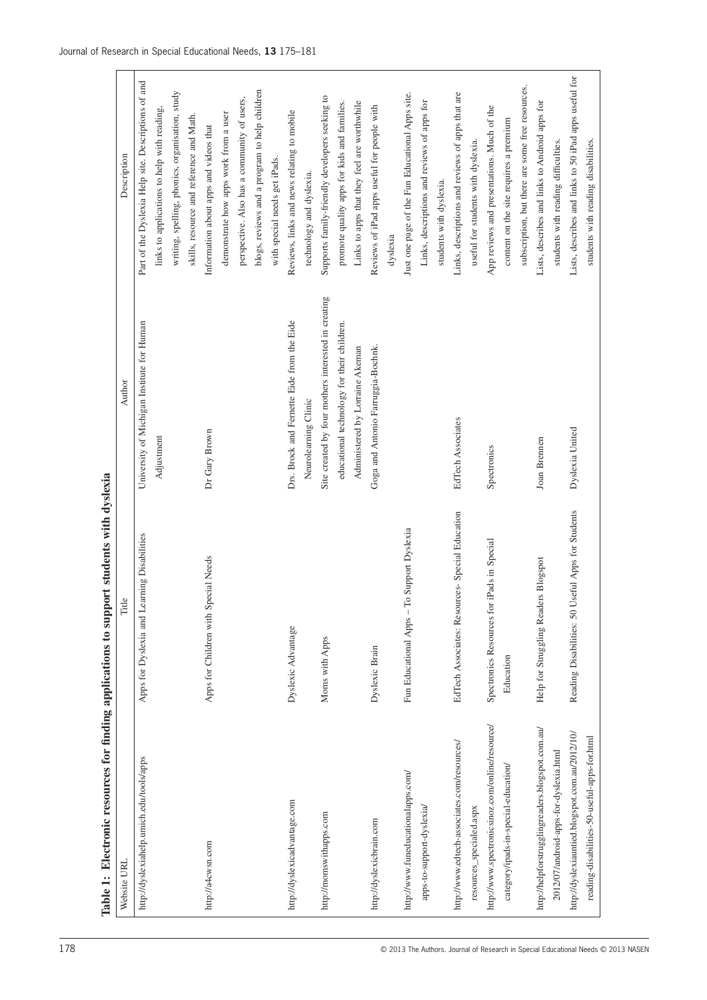|                                                  | Table 1: Electronic resources for finding applications to support students with dyslexia |                                                     |                                                       |
|--------------------------------------------------|------------------------------------------------------------------------------------------|-----------------------------------------------------|-------------------------------------------------------|
| Website URL                                      | Title                                                                                    | Author                                              | Description                                           |
| http://dyslexiahelp.umich.edu/tools/apps         | Apps for Dyslexia and Learning Disabilities                                              | University of Michigan Institute for Human          | Part of the Dyslexia Help site. Descriptions of and   |
|                                                  |                                                                                          | Adjustment                                          | links to applications to help with reading,           |
|                                                  |                                                                                          |                                                     | writing, spelling, phonics, organisation, study       |
|                                                  |                                                                                          |                                                     | skills, resource and reference and Math.              |
| http://a4cwsn.com                                | Apps for Children with Special Needs                                                     | Dr Gary Brown                                       | Information about apps and videos that                |
|                                                  |                                                                                          |                                                     | demonstrate how apps work from a user                 |
|                                                  |                                                                                          |                                                     | perspective. Also has a community of users,           |
|                                                  |                                                                                          |                                                     | blogs, reviews and a program to help children         |
|                                                  |                                                                                          |                                                     | with special needs get iPads.                         |
| http://dyslexicadvantage.com                     | Dyslexic Advantage                                                                       | Drs. Brock and Fernette Eide from the Eide          | Reviews, links and news relating to mobile            |
|                                                  |                                                                                          | Neurolearning Clinic                                | technology and dyslexia.                              |
| http://momswithapps.com                          | Moms with Apps                                                                           | Site created by four mothers interested in creating | Supports family-friendly developers seeking to        |
|                                                  |                                                                                          | educational technology for their children.          | promote quality apps for kids and families.           |
|                                                  |                                                                                          | Administered by Lorraine Akeman                     | Links to apps that they feel are worthwhile           |
| http://dyslexicbrain.com                         | Dyslexic Brain                                                                           | Goga and Antonio Farruggia-Bochnk.                  | Reviews of iPad apps useful for people with           |
|                                                  |                                                                                          |                                                     | dyslexia                                              |
| http://www.funeducationalapps.com/               | Support Dyslexia<br>Fun Educational Apps - To                                            |                                                     | Just one page of the Fun Educational Apps site.       |
| apps-to-support-dyslexia/                        |                                                                                          |                                                     | Links, descriptions and reviews of apps for           |
|                                                  |                                                                                          |                                                     | students with dyslexia.                               |
| http://www.edtech-associates.com/resources/      | EdTech Associates: Resources- Special Education                                          | EdTech Associates                                   | Links, descriptions and reviews of apps that are      |
| resources_specialed.aspx                         |                                                                                          |                                                     | useful for students with dyslexia.                    |
| http://www.spectronicsinoz.com/online/resource/  | iPads in Special<br>Spectronics Resources for                                            | Spectronics                                         | App reviews and presentations. Much of the            |
| category/ipads-in-special-education/             | Education                                                                                |                                                     | content on the site requires a premium                |
|                                                  |                                                                                          |                                                     | subscription, but there are some free resources.      |
| http://helpforstrugglingreaders.blogspot.com.au/ | Help for Struggling Readers Blogspot                                                     | Joan Brennen                                        | Lists, describes and links to Android apps for        |
| 2012/07/android-apps-for-dyslexia.html           |                                                                                          |                                                     | students with reading difficulties.                   |
| http://dyslexiauntied.blogspot.com.au/2012/10/   | Reading Disabilities: 50 Useful Apps for Students                                        | Dyslexia United                                     | Lists, describes and links to 50 iPad apps useful for |
| reading-disabilities-50-useful-apps-for.html     |                                                                                          |                                                     | students with reading disabilities.                   |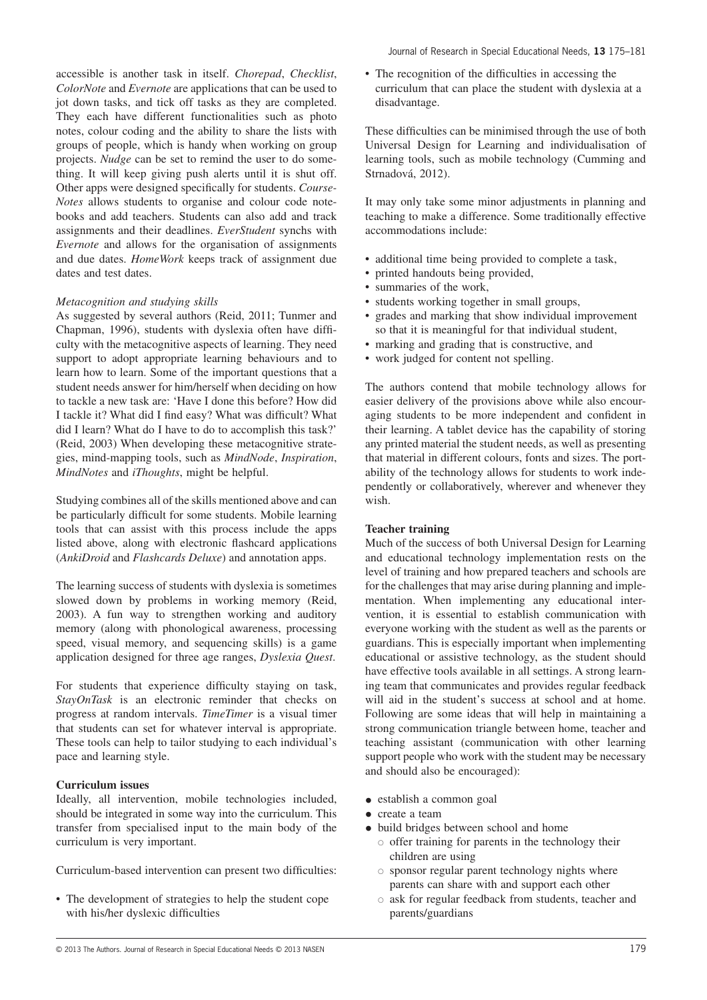accessible is another task in itself. *Chorepad*, *Checklist*, *ColorNote* and *Evernote* are applications that can be used to jot down tasks, and tick off tasks as they are completed. They each have different functionalities such as photo notes, colour coding and the ability to share the lists with groups of people, which is handy when working on group projects. *Nudge* can be set to remind the user to do something. It will keep giving push alerts until it is shut off. Other apps were designed specifically for students. *Course-Notes* allows students to organise and colour code notebooks and add teachers. Students can also add and track assignments and their deadlines. *EverStudent* synchs with *Evernote* and allows for the organisation of assignments and due dates. *HomeWork* keeps track of assignment due dates and test dates.

#### *Metacognition and studying skills*

As suggested by several authors (Reid, 2011; Tunmer and Chapman, 1996), students with dyslexia often have difficulty with the metacognitive aspects of learning. They need support to adopt appropriate learning behaviours and to learn how to learn. Some of the important questions that a student needs answer for him/herself when deciding on how to tackle a new task are: 'Have I done this before? How did I tackle it? What did I find easy? What was difficult? What did I learn? What do I have to do to accomplish this task?' (Reid, 2003) When developing these metacognitive strategies, mind-mapping tools, such as *MindNode*, *Inspiration*, *MindNotes* and *iThoughts*, might be helpful.

Studying combines all of the skills mentioned above and can be particularly difficult for some students. Mobile learning tools that can assist with this process include the apps listed above, along with electronic flashcard applications (*AnkiDroid* and *Flashcards Deluxe*) and annotation apps.

The learning success of students with dyslexia is sometimes slowed down by problems in working memory (Reid, 2003). A fun way to strengthen working and auditory memory (along with phonological awareness, processing speed, visual memory, and sequencing skills) is a game application designed for three age ranges, *Dyslexia Quest*.

For students that experience difficulty staying on task, *StayOnTask* is an electronic reminder that checks on progress at random intervals. *TimeTimer* is a visual timer that students can set for whatever interval is appropriate. These tools can help to tailor studying to each individual's pace and learning style.

#### **Curriculum issues**

Ideally, all intervention, mobile technologies included, should be integrated in some way into the curriculum. This transfer from specialised input to the main body of the curriculum is very important.

Curriculum-based intervention can present two difficulties:

• The development of strategies to help the student cope with his/her dyslexic difficulties

• The recognition of the difficulties in accessing the curriculum that can place the student with dyslexia at a disadvantage.

These difficulties can be minimised through the use of both Universal Design for Learning and individualisation of learning tools, such as mobile technology (Cumming and Strnadová, 2012).

It may only take some minor adjustments in planning and teaching to make a difference. Some traditionally effective accommodations include:

- additional time being provided to complete a task,
- printed handouts being provided,
- summaries of the work,
- students working together in small groups,
- grades and marking that show individual improvement so that it is meaningful for that individual student,
- marking and grading that is constructive, and
- work judged for content not spelling.

The authors contend that mobile technology allows for easier delivery of the provisions above while also encouraging students to be more independent and confident in their learning. A tablet device has the capability of storing any printed material the student needs, as well as presenting that material in different colours, fonts and sizes. The portability of the technology allows for students to work independently or collaboratively, wherever and whenever they wish.

#### **Teacher training**

Much of the success of both Universal Design for Learning and educational technology implementation rests on the level of training and how prepared teachers and schools are for the challenges that may arise during planning and implementation. When implementing any educational intervention, it is essential to establish communication with everyone working with the student as well as the parents or guardians. This is especially important when implementing educational or assistive technology, as the student should have effective tools available in all settings. A strong learning team that communicates and provides regular feedback will aid in the student's success at school and at home. Following are some ideas that will help in maintaining a strong communication triangle between home, teacher and teaching assistant (communication with other learning support people who work with the student may be necessary and should also be encouraged):

- establish a common goal
- create a team
- build bridges between school and home
	- o offer training for parents in the technology their children are using
	- o sponsor regular parent technology nights where parents can share with and support each other
	- o ask for regular feedback from students, teacher and parents/guardians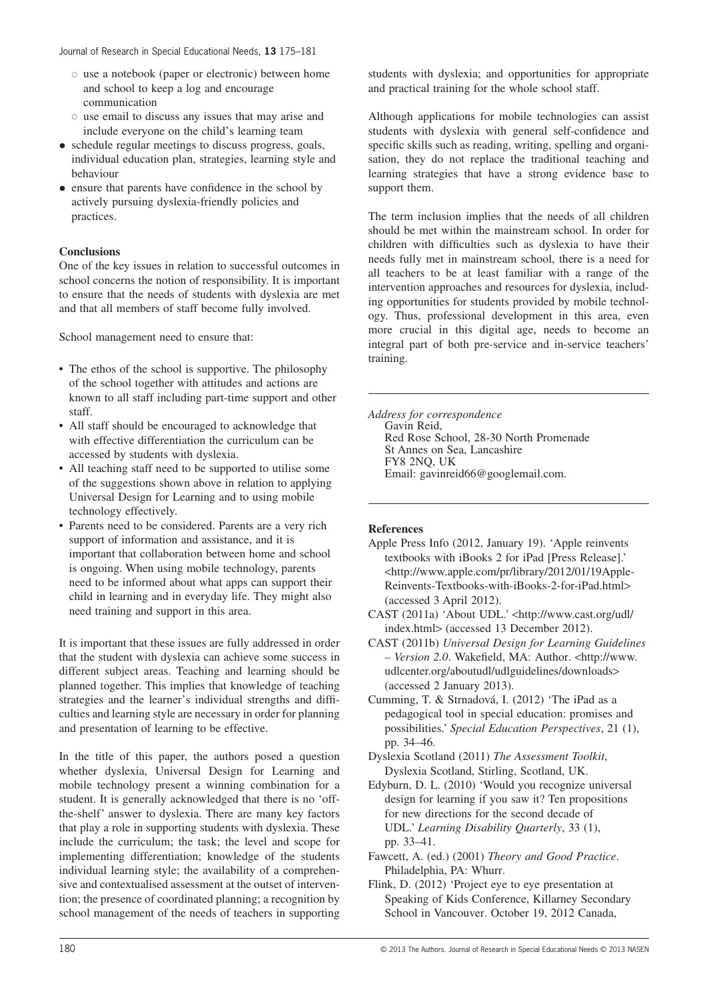- o use a notebook (paper or electronic) between home and school to keep a log and encourage communication
- use email to discuss any issues that may arise and include everyone on the child's learning team
- schedule regular meetings to discuss progress, goals, individual education plan, strategies, learning style and behaviour
- ensure that parents have confidence in the school by actively pursuing dyslexia-friendly policies and practices.

# **Conclusions**

One of the key issues in relation to successful outcomes in school concerns the notion of responsibility. It is important to ensure that the needs of students with dyslexia are met and that all members of staff become fully involved.

School management need to ensure that:

- The ethos of the school is supportive. The philosophy of the school together with attitudes and actions are known to all staff including part-time support and other staff.
- All staff should be encouraged to acknowledge that with effective differentiation the curriculum can be accessed by students with dyslexia.
- All teaching staff need to be supported to utilise some of the suggestions shown above in relation to applying Universal Design for Learning and to using mobile technology effectively.
- Parents need to be considered. Parents are a very rich support of information and assistance, and it is important that collaboration between home and school is ongoing. When using mobile technology, parents need to be informed about what apps can support their child in learning and in everyday life. They might also need training and support in this area.

It is important that these issues are fully addressed in order that the student with dyslexia can achieve some success in different subject areas. Teaching and learning should be planned together. This implies that knowledge of teaching strategies and the learner's individual strengths and difficulties and learning style are necessary in order for planning and presentation of learning to be effective.

In the title of this paper, the authors posed a question whether dyslexia, Universal Design for Learning and mobile technology present a winning combination for a student. It is generally acknowledged that there is no 'offthe-shelf' answer to dyslexia. There are many key factors that play a role in supporting students with dyslexia. These include the curriculum; the task; the level and scope for implementing differentiation; knowledge of the students individual learning style; the availability of a comprehensive and contextualised assessment at the outset of intervention; the presence of coordinated planning; a recognition by school management of the needs of teachers in supporting

students with dyslexia; and opportunities for appropriate and practical training for the whole school staff.

Although applications for mobile technologies can assist students with dyslexia with general self-confidence and specific skills such as reading, writing, spelling and organisation, they do not replace the traditional teaching and learning strategies that have a strong evidence base to support them.

The term inclusion implies that the needs of all children should be met within the mainstream school. In order for children with difficulties such as dyslexia to have their needs fully met in mainstream school, there is a need for all teachers to be at least familiar with a range of the intervention approaches and resources for dyslexia, including opportunities for students provided by mobile technology. Thus, professional development in this area, even more crucial in this digital age, needs to become an integral part of both pre-service and in-service teachers' training.

*Address for correspondence* Gavin Reid, Red Rose School, 28-30 North Promenade St Annes on Sea, Lancashire FY8 2NQ, UK Email: gavinreid66@googlemail.com.

# **References**

- Apple Press Info (2012, January 19). 'Apple reinvents textbooks with iBooks 2 for iPad [Press Release].' <http://www.apple.com/pr/library/2012/01/19Apple-Reinvents-Textbooks-with-iBooks-2-for-iPad.html> (accessed 3 April 2012).
- CAST (2011a) 'About UDL.' <http://www.cast.org/udl/ index.html> (accessed 13 December 2012).
- CAST (2011b) *Universal Design for Learning Guidelines – Version 2.0*. Wakefield, MA: Author. <http://www. udlcenter.org/aboutudl/udlguidelines/downloads> (accessed 2 January 2013).
- Cumming, T. & Strnadová, I. (2012) 'The iPad as a pedagogical tool in special education: promises and possibilities.' *Special Education Perspectives*, 21 (1), pp. 34–46.
- Dyslexia Scotland (2011) *The Assessment Toolkit*, Dyslexia Scotland, Stirling, Scotland, UK.
- Edyburn, D. L. (2010) 'Would you recognize universal design for learning if you saw it? Ten propositions for new directions for the second decade of UDL.' *Learning Disability Quarterly*, 33 (1), pp. 33–41.
- Fawcett, A. (ed.) (2001) *Theory and Good Practice*. Philadelphia, PA: Whurr.
- Flink, D. (2012) 'Project eye to eye presentation at Speaking of Kids Conference, Killarney Secondary School in Vancouver. October 19, 2012 Canada,